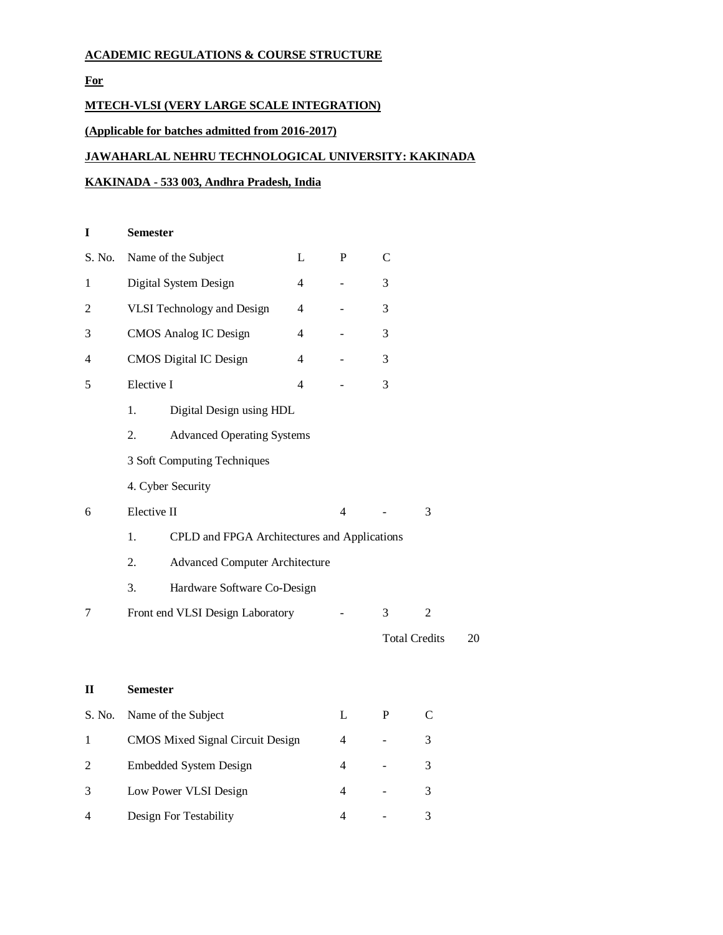# **ACADEMIC REGULATIONS & COURSE STRUCTURE**

**For**

# **MTECH-VLSI (VERY LARGE SCALE INTEGRATION)**

# **(Applicable for batches admitted from 2016-2017)**

# **JAWAHARLAL NEHRU TECHNOLOGICAL UNIVERSITY: KAKINADA**

# **KAKINADA - 533 003, Andhra Pradesh, India**

| Name of the Subject<br>L                                  |  |                                    |                             | C                |                      |  |  |             |
|-----------------------------------------------------------|--|------------------------------------|-----------------------------|------------------|----------------------|--|--|-------------|
| Digital System Design<br>4                                |  |                                    |                             | 3                |                      |  |  |             |
| <b>VLSI</b> Technology and Design<br>4                    |  |                                    |                             | 3                |                      |  |  |             |
| <b>CMOS</b> Analog IC Design<br>$\overline{4}$            |  |                                    |                             | 3                |                      |  |  |             |
| <b>CMOS</b> Digital IC Design<br>4                        |  |                                    |                             | 3                |                      |  |  |             |
| Elective I<br>$\overline{\mathcal{L}}$                    |  |                                    |                             | 3                |                      |  |  |             |
| Digital Design using HDL<br>1.                            |  |                                    |                             |                  |                      |  |  |             |
| <b>Advanced Operating Systems</b><br>2.                   |  |                                    |                             |                  |                      |  |  |             |
| 3 Soft Computing Techniques<br>4. Cyber Security          |  |                                    |                             |                  |                      |  |  |             |
|                                                           |  |                                    |                             |                  |                      |  |  | Elective II |
| CPLD and FPGA Architectures and Applications<br>1.        |  |                                    |                             |                  |                      |  |  |             |
| $\overline{2}$ .<br><b>Advanced Computer Architecture</b> |  |                                    |                             |                  |                      |  |  |             |
| 3.                                                        |  |                                    |                             |                  |                      |  |  |             |
| Front end VLSI Design Laboratory                          |  |                                    |                             | 3                | $\overline{2}$       |  |  |             |
|                                                           |  |                                    |                             |                  | <b>Total Credits</b> |  |  |             |
|                                                           |  |                                    |                             |                  |                      |  |  |             |
|                                                           |  |                                    |                             |                  |                      |  |  |             |
| Name of the Subject                                       |  |                                    | L                           | P                | C                    |  |  |             |
| <b>CMOS Mixed Signal Circuit Design</b>                   |  |                                    | 4                           |                  | 3                    |  |  |             |
| <b>Embedded System Design</b>                             |  |                                    | 4                           |                  | 3                    |  |  |             |
|                                                           |  | <b>Semester</b><br><b>Semester</b> | Hardware Software Co-Design | $\mathbf P$<br>4 |                      |  |  |             |

3 Low Power VLSI Design 4 - 3

4 Design For Testability 4 - 3

 $20$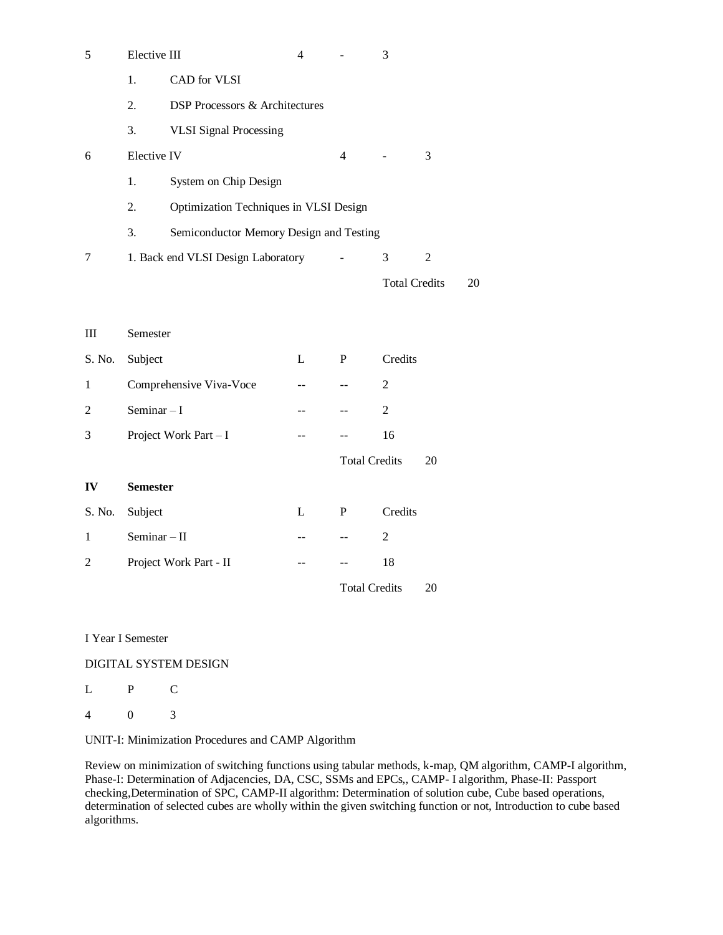| 5      | Elective III                                  |                                           | 4  |                            | 3                    |                |    |  |  |  |  |
|--------|-----------------------------------------------|-------------------------------------------|----|----------------------------|----------------------|----------------|----|--|--|--|--|
|        | 1.                                            | CAD for VLSI                              |    |                            |                      |                |    |  |  |  |  |
|        | 2.                                            | <b>DSP Processors &amp; Architectures</b> |    |                            |                      |                |    |  |  |  |  |
|        | 3.                                            | <b>VLSI Signal Processing</b>             |    |                            |                      |                |    |  |  |  |  |
| 6      | Elective IV                                   |                                           |    | 4                          |                      | 3              |    |  |  |  |  |
|        | 1.                                            | System on Chip Design                     |    |                            |                      |                |    |  |  |  |  |
|        | Optimization Techniques in VLSI Design<br>2.  |                                           |    |                            |                      |                |    |  |  |  |  |
|        | Semiconductor Memory Design and Testing<br>3. |                                           |    |                            |                      |                |    |  |  |  |  |
| 7      | 1. Back end VLSI Design Laboratory            |                                           |    |                            | 3                    | $\overline{2}$ |    |  |  |  |  |
|        |                                               |                                           |    |                            | <b>Total Credits</b> |                | 20 |  |  |  |  |
|        |                                               |                                           |    |                            |                      |                |    |  |  |  |  |
| Ш      | Semester                                      |                                           |    |                            |                      |                |    |  |  |  |  |
| S. No. | Subject<br>L                                  |                                           |    | P                          | Credits              |                |    |  |  |  |  |
| 1      |                                               | Comprehensive Viva-Voce                   |    | ÷-                         | $\overline{2}$       |                |    |  |  |  |  |
| 2      | Seminar $-I$                                  |                                           | -- |                            | $\overline{2}$       |                |    |  |  |  |  |
| 3      |                                               | Project Work Part - I                     |    |                            | 16                   |                |    |  |  |  |  |
|        |                                               |                                           |    | <b>Total Credits</b><br>20 |                      |                |    |  |  |  |  |
| IV     | <b>Semester</b>                               |                                           |    |                            |                      |                |    |  |  |  |  |
| S. No. | Subject                                       |                                           | L  | P                          | Credits              |                |    |  |  |  |  |
| 1      | Seminar $-$ II                                |                                           |    |                            | $\overline{2}$       |                |    |  |  |  |  |
| 2      |                                               | Project Work Part - II                    | -- |                            | 18                   |                |    |  |  |  |  |
|        |                                               |                                           |    | <b>Total Credits</b><br>20 |                      |                |    |  |  |  |  |
|        |                                               |                                           |    |                            |                      |                |    |  |  |  |  |

I Year I Semester

DIGITAL SYSTEM DESIGN

L P C

4 0 3

UNIT-I: Minimization Procedures and CAMP Algorithm

Review on minimization of switching functions using tabular methods, k-map, QM algorithm, CAMP-I algorithm, Phase-I: Determination of Adjacencies, DA, CSC, SSMs and EPCs,, CAMP- I algorithm, Phase-II: Passport checking,Determination of SPC, CAMP-II algorithm: Determination of solution cube, Cube based operations, determination of selected cubes are wholly within the given switching function or not, Introduction to cube based algorithms.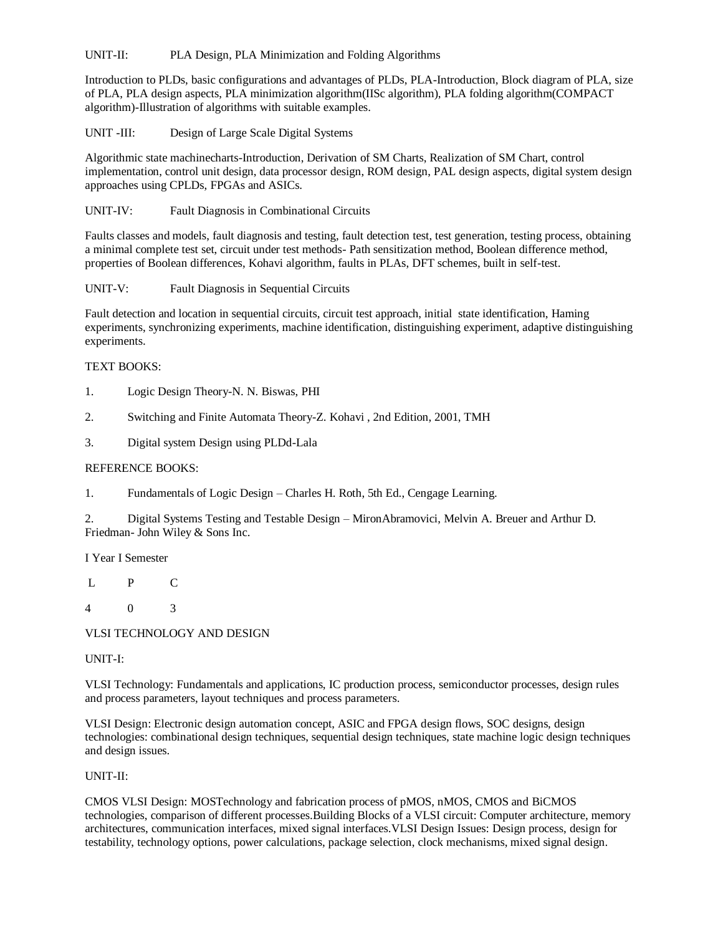UNIT-II: PLA Design, PLA Minimization and Folding Algorithms

Introduction to PLDs, basic configurations and advantages of PLDs, PLA-Introduction, Block diagram of PLA, size of PLA, PLA design aspects, PLA minimization algorithm(IISc algorithm), PLA folding algorithm(COMPACT algorithm)-Illustration of algorithms with suitable examples.

UNIT -III: Design of Large Scale Digital Systems

Algorithmic state machinecharts-Introduction, Derivation of SM Charts, Realization of SM Chart, control implementation, control unit design, data processor design, ROM design, PAL design aspects, digital system design approaches using CPLDs, FPGAs and ASICs.

UNIT-IV: Fault Diagnosis in Combinational Circuits

Faults classes and models, fault diagnosis and testing, fault detection test, test generation, testing process, obtaining a minimal complete test set, circuit under test methods- Path sensitization method, Boolean difference method, properties of Boolean differences, Kohavi algorithm, faults in PLAs, DFT schemes, built in self-test.

#### UNIT-V: Fault Diagnosis in Sequential Circuits

Fault detection and location in sequential circuits, circuit test approach, initial state identification, Haming experiments, synchronizing experiments, machine identification, distinguishing experiment, adaptive distinguishing experiments.

#### TEXT BOOKS:

- 1. Logic Design Theory-N. N. Biswas, PHI
- 2. Switching and Finite Automata Theory-Z. Kohavi , 2nd Edition, 2001, TMH
- 3. Digital system Design using PLDd-Lala

### REFERENCE BOOKS:

1. Fundamentals of Logic Design – Charles H. Roth, 5th Ed., Cengage Learning.

2. Digital Systems Testing and Testable Design – MironAbramovici, Melvin A. Breuer and Arthur D. Friedman- John Wiley & Sons Inc.

I Year I Semester

- L P C
- 4 0 3

VLSI TECHNOLOGY AND DESIGN

UNIT-I:

VLSI Technology: Fundamentals and applications, IC production process, semiconductor processes, design rules and process parameters, layout techniques and process parameters.

VLSI Design: Electronic design automation concept, ASIC and FPGA design flows, SOC designs, design technologies: combinational design techniques, sequential design techniques, state machine logic design techniques and design issues.

#### UNIT-II:

CMOS VLSI Design: MOSTechnology and fabrication process of pMOS, nMOS, CMOS and BiCMOS technologies, comparison of different processes.Building Blocks of a VLSI circuit: Computer architecture, memory architectures, communication interfaces, mixed signal interfaces.VLSI Design Issues: Design process, design for testability, technology options, power calculations, package selection, clock mechanisms, mixed signal design.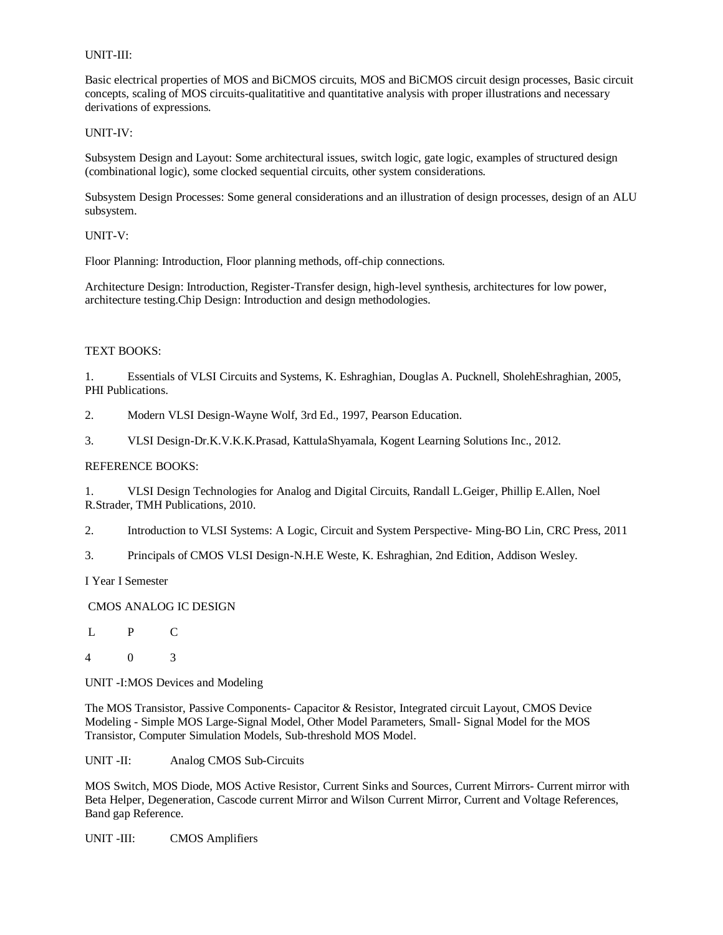### UNIT-III:

Basic electrical properties of MOS and BiCMOS circuits, MOS and BiCMOS circuit design processes, Basic circuit concepts, scaling of MOS circuits-qualitatitive and quantitative analysis with proper illustrations and necessary derivations of expressions.

#### UNIT-IV:

Subsystem Design and Layout: Some architectural issues, switch logic, gate logic, examples of structured design (combinational logic), some clocked sequential circuits, other system considerations.

Subsystem Design Processes: Some general considerations and an illustration of design processes, design of an ALU subsystem.

### UNIT-V:

Floor Planning: Introduction, Floor planning methods, off-chip connections.

Architecture Design: Introduction, Register-Transfer design, high-level synthesis, architectures for low power, architecture testing.Chip Design: Introduction and design methodologies.

### TEXT BOOKS:

1. Essentials of VLSI Circuits and Systems, K. Eshraghian, Douglas A. Pucknell, SholehEshraghian, 2005, PHI Publications.

2. Modern VLSI Design-Wayne Wolf, 3rd Ed., 1997, Pearson Education.

3. VLSI Design-Dr.K.V.K.K.Prasad, KattulaShyamala, Kogent Learning Solutions Inc., 2012.

### REFERENCE BOOKS:

1. VLSI Design Technologies for Analog and Digital Circuits, Randall L.Geiger, Phillip E.Allen, Noel R.Strader, TMH Publications, 2010.

2. Introduction to VLSI Systems: A Logic, Circuit and System Perspective- Ming-BO Lin, CRC Press, 2011

3. Principals of CMOS VLSI Design-N.H.E Weste, K. Eshraghian, 2nd Edition, Addison Wesley.

I Year I Semester

# CMOS ANALOG IC DESIGN

L P C

4 0 3

UNIT -I:MOS Devices and Modeling

The MOS Transistor, Passive Components- Capacitor & Resistor, Integrated circuit Layout, CMOS Device Modeling - Simple MOS Large-Signal Model, Other Model Parameters, Small- Signal Model for the MOS Transistor, Computer Simulation Models, Sub-threshold MOS Model.

UNIT -II: Analog CMOS Sub-Circuits

MOS Switch, MOS Diode, MOS Active Resistor, Current Sinks and Sources, Current Mirrors- Current mirror with Beta Helper, Degeneration, Cascode current Mirror and Wilson Current Mirror, Current and Voltage References, Band gap Reference.

UNIT -III: CMOS Amplifiers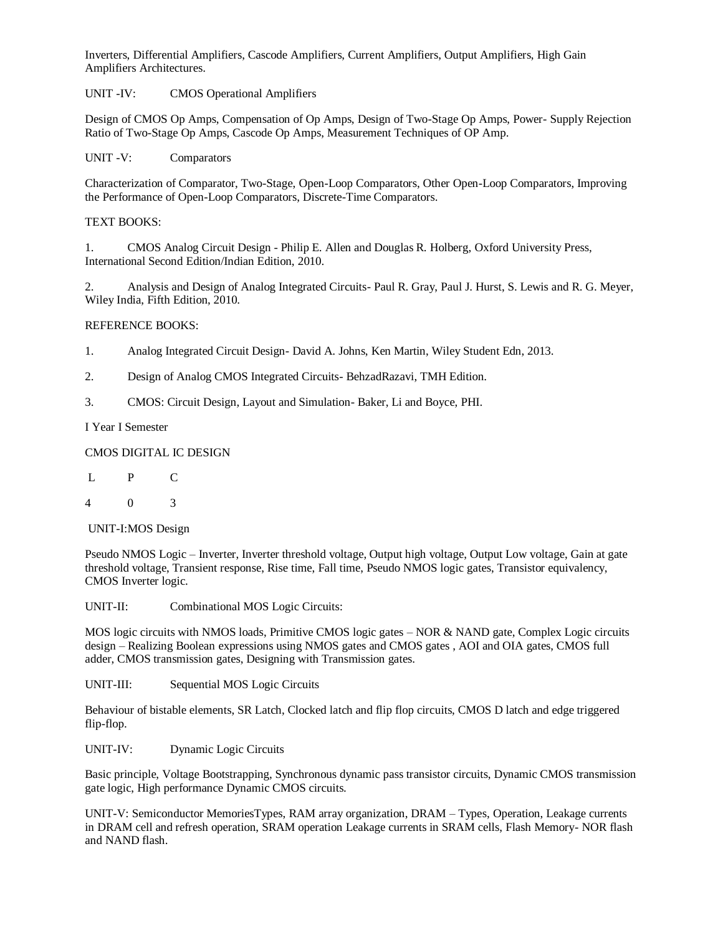Inverters, Differential Amplifiers, Cascode Amplifiers, Current Amplifiers, Output Amplifiers, High Gain Amplifiers Architectures.

UNIT -IV: CMOS Operational Amplifiers

Design of CMOS Op Amps, Compensation of Op Amps, Design of Two-Stage Op Amps, Power- Supply Rejection Ratio of Two-Stage Op Amps, Cascode Op Amps, Measurement Techniques of OP Amp.

UNIT -V: Comparators

Characterization of Comparator, Two-Stage, Open-Loop Comparators, Other Open-Loop Comparators, Improving the Performance of Open-Loop Comparators, Discrete-Time Comparators.

## TEXT BOOKS:

1. CMOS Analog Circuit Design - Philip E. Allen and Douglas R. Holberg, Oxford University Press, International Second Edition/Indian Edition, 2010.

2. Analysis and Design of Analog Integrated Circuits- Paul R. Gray, Paul J. Hurst, S. Lewis and R. G. Meyer, Wiley India, Fifth Edition, 2010.

### REFERENCE BOOKS:

- 1. Analog Integrated Circuit Design- David A. Johns, Ken Martin, Wiley Student Edn, 2013.
- 2. Design of Analog CMOS Integrated Circuits- BehzadRazavi, TMH Edition.
- 3. CMOS: Circuit Design, Layout and Simulation- Baker, Li and Boyce, PHI.

I Year I Semester

### CMOS DIGITAL IC DESIGN

- L P C
- 4 0 3

#### UNIT-I:MOS Design

Pseudo NMOS Logic – Inverter, Inverter threshold voltage, Output high voltage, Output Low voltage, Gain at gate threshold voltage, Transient response, Rise time, Fall time, Pseudo NMOS logic gates, Transistor equivalency, CMOS Inverter logic.

UNIT-II: Combinational MOS Logic Circuits:

MOS logic circuits with NMOS loads, Primitive CMOS logic gates – NOR & NAND gate, Complex Logic circuits design – Realizing Boolean expressions using NMOS gates and CMOS gates , AOI and OIA gates, CMOS full adder, CMOS transmission gates, Designing with Transmission gates.

UNIT-III: Sequential MOS Logic Circuits

Behaviour of bistable elements, SR Latch, Clocked latch and flip flop circuits, CMOS D latch and edge triggered flip-flop.

UNIT-IV: Dynamic Logic Circuits

Basic principle, Voltage Bootstrapping, Synchronous dynamic pass transistor circuits, Dynamic CMOS transmission gate logic, High performance Dynamic CMOS circuits.

UNIT-V: Semiconductor MemoriesTypes, RAM array organization, DRAM – Types, Operation, Leakage currents in DRAM cell and refresh operation, SRAM operation Leakage currents in SRAM cells, Flash Memory- NOR flash and NAND flash.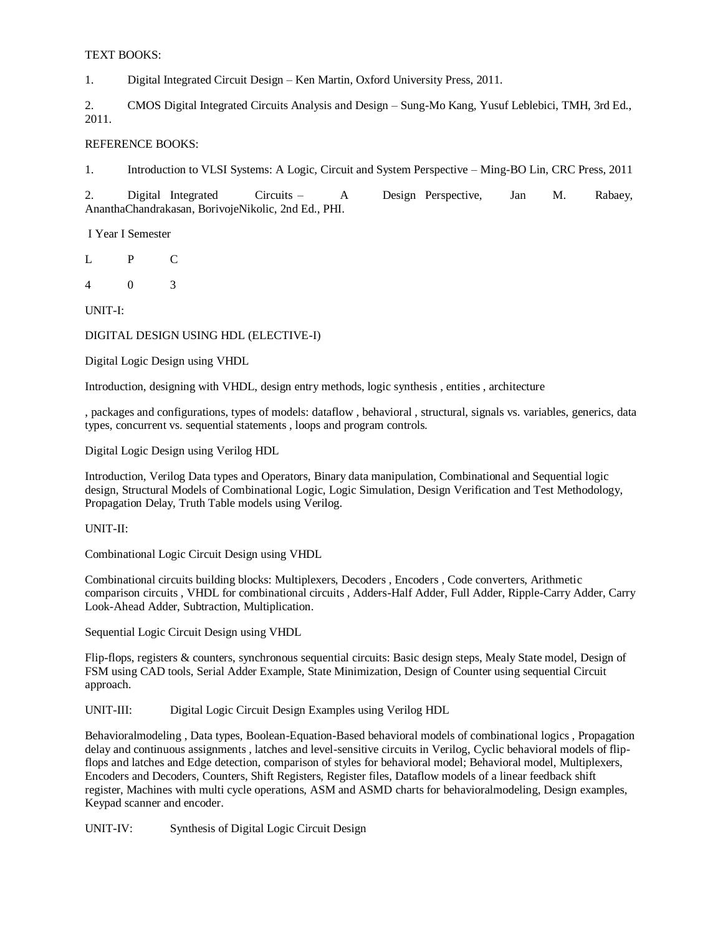### TEXT BOOKS:

1. Digital Integrated Circuit Design – Ken Martin, Oxford University Press, 2011.

2. CMOS Digital Integrated Circuits Analysis and Design – Sung-Mo Kang, Yusuf Leblebici, TMH, 3rd Ed., 2011.

## REFERENCE BOOKS:

1. Introduction to VLSI Systems: A Logic, Circuit and System Perspective – Ming-BO Lin, CRC Press, 2011

2. Digital Integrated Circuits – A Design Perspective, Jan M. Rabaey, AnanthaChandrakasan, BorivojeNikolic, 2nd Ed., PHI.

I Year I Semester

L P C

4 0 3

UNIT-I:

### DIGITAL DESIGN USING HDL (ELECTIVE-I)

Digital Logic Design using VHDL

Introduction, designing with VHDL, design entry methods, logic synthesis , entities , architecture

, packages and configurations, types of models: dataflow , behavioral , structural, signals vs. variables, generics, data types, concurrent vs. sequential statements , loops and program controls.

Digital Logic Design using Verilog HDL

Introduction, Verilog Data types and Operators, Binary data manipulation, Combinational and Sequential logic design, Structural Models of Combinational Logic, Logic Simulation, Design Verification and Test Methodology, Propagation Delay, Truth Table models using Verilog.

#### UNIT-II:

Combinational Logic Circuit Design using VHDL

Combinational circuits building blocks: Multiplexers, Decoders , Encoders , Code converters, Arithmetic comparison circuits , VHDL for combinational circuits , Adders-Half Adder, Full Adder, Ripple-Carry Adder, Carry Look-Ahead Adder, Subtraction, Multiplication.

Sequential Logic Circuit Design using VHDL

Flip-flops, registers & counters, synchronous sequential circuits: Basic design steps, Mealy State model, Design of FSM using CAD tools, Serial Adder Example, State Minimization, Design of Counter using sequential Circuit approach.

UNIT-III: Digital Logic Circuit Design Examples using Verilog HDL

Behavioralmodeling , Data types, Boolean-Equation-Based behavioral models of combinational logics , Propagation delay and continuous assignments , latches and level-sensitive circuits in Verilog, Cyclic behavioral models of flipflops and latches and Edge detection, comparison of styles for behavioral model; Behavioral model, Multiplexers, Encoders and Decoders, Counters, Shift Registers, Register files, Dataflow models of a linear feedback shift register, Machines with multi cycle operations, ASM and ASMD charts for behavioralmodeling, Design examples, Keypad scanner and encoder.

UNIT-IV: Synthesis of Digital Logic Circuit Design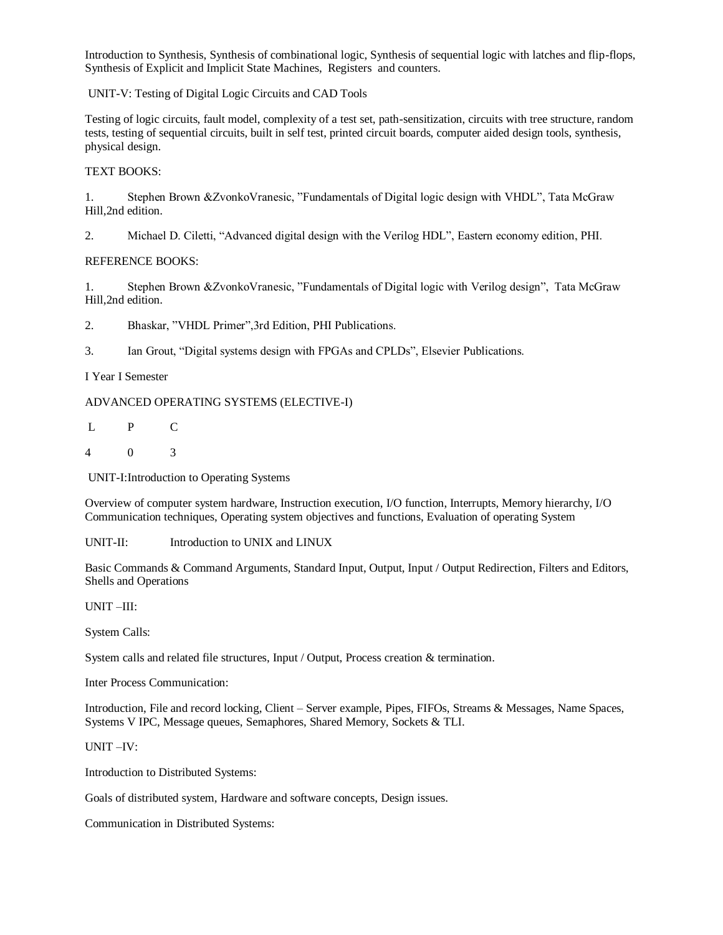Introduction to Synthesis, Synthesis of combinational logic, Synthesis of sequential logic with latches and flip-flops, Synthesis of Explicit and Implicit State Machines, Registers and counters.

UNIT-V: Testing of Digital Logic Circuits and CAD Tools

Testing of logic circuits, fault model, complexity of a test set, path-sensitization, circuits with tree structure, random tests, testing of sequential circuits, built in self test, printed circuit boards, computer aided design tools, synthesis, physical design.

### TEXT BOOKS:

1. Stephen Brown &ZvonkoVranesic, "Fundamentals of Digital logic design with VHDL", Tata McGraw Hill,2nd edition.

2. Michael D. Ciletti, "Advanced digital design with the Verilog HDL", Eastern economy edition, PHI.

### REFERENCE BOOKS:

1. Stephen Brown &ZvonkoVranesic, "Fundamentals of Digital logic with Verilog design", Tata McGraw Hill,2nd edition.

2. Bhaskar, "VHDL Primer",3rd Edition, PHI Publications.

3. Ian Grout, "Digital systems design with FPGAs and CPLDs", Elsevier Publications.

### I Year I Semester

ADVANCED OPERATING SYSTEMS (ELECTIVE-I)

L P C

4 0 3

UNIT-I:Introduction to Operating Systems

Overview of computer system hardware, Instruction execution, I/O function, Interrupts, Memory hierarchy, I/O Communication techniques, Operating system objectives and functions, Evaluation of operating System

UNIT-II: Introduction to UNIX and LINUX

Basic Commands & Command Arguments, Standard Input, Output, Input / Output Redirection, Filters and Editors, Shells and Operations

UNIT –III:

System Calls:

System calls and related file structures, Input / Output, Process creation & termination.

Inter Process Communication:

Introduction, File and record locking, Client – Server example, Pipes, FIFOs, Streams & Messages, Name Spaces, Systems V IPC, Message queues, Semaphores, Shared Memory, Sockets & TLI.

UNIT –IV:

Introduction to Distributed Systems:

Goals of distributed system, Hardware and software concepts, Design issues.

Communication in Distributed Systems: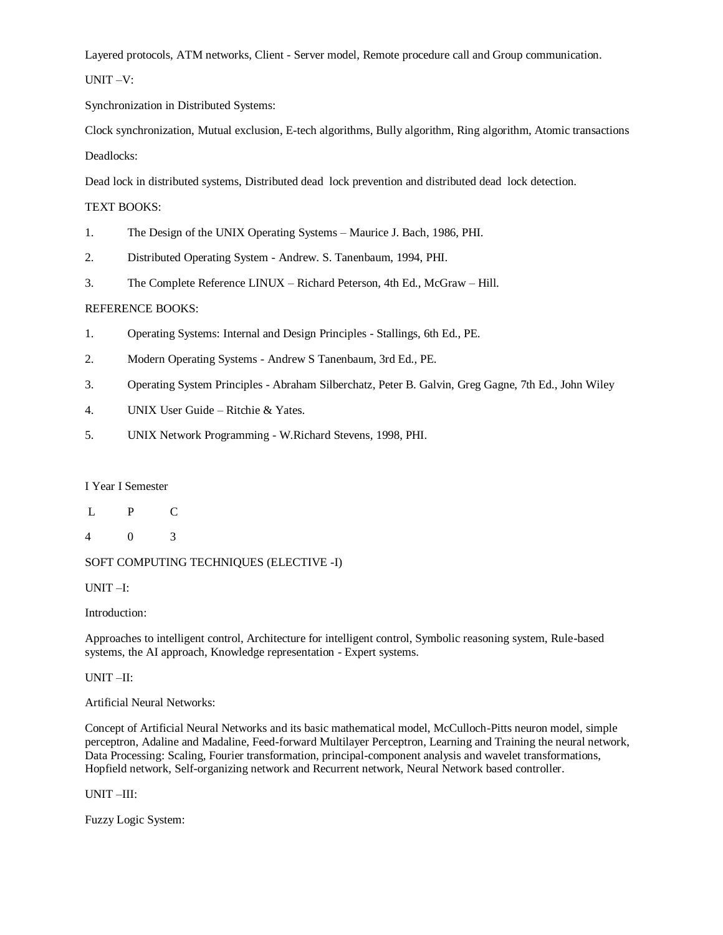Layered protocols, ATM networks, Client - Server model, Remote procedure call and Group communication.

UNIT –V:

Synchronization in Distributed Systems:

Clock synchronization, Mutual exclusion, E-tech algorithms, Bully algorithm, Ring algorithm, Atomic transactions Deadlocks:

Dead lock in distributed systems, Distributed dead lock prevention and distributed dead lock detection.

### TEXT BOOKS:

- 1. The Design of the UNIX Operating Systems Maurice J. Bach, 1986, PHI.
- 2. Distributed Operating System Andrew. S. Tanenbaum, 1994, PHI.
- 3. The Complete Reference LINUX Richard Peterson, 4th Ed., McGraw Hill.

### REFERENCE BOOKS:

- 1. Operating Systems: Internal and Design Principles Stallings, 6th Ed., PE.
- 2. Modern Operating Systems Andrew S Tanenbaum, 3rd Ed., PE.
- 3. Operating System Principles Abraham Silberchatz, Peter B. Galvin, Greg Gagne, 7th Ed., John Wiley
- 4. UNIX User Guide Ritchie & Yates.
- 5. UNIX Network Programming W.Richard Stevens, 1998, PHI.

#### I Year I Semester

- L P C
- 4 0 3

### SOFT COMPUTING TECHNIQUES (ELECTIVE -I)

UNIT –I:

#### Introduction:

Approaches to intelligent control, Architecture for intelligent control, Symbolic reasoning system, Rule-based systems, the AI approach, Knowledge representation - Expert systems.

#### UNIT –II:

Artificial Neural Networks:

Concept of Artificial Neural Networks and its basic mathematical model, McCulloch-Pitts neuron model, simple perceptron, Adaline and Madaline, Feed-forward Multilayer Perceptron, Learning and Training the neural network, Data Processing: Scaling, Fourier transformation, principal-component analysis and wavelet transformations, Hopfield network, Self-organizing network and Recurrent network, Neural Network based controller.

UNIT –III:

Fuzzy Logic System: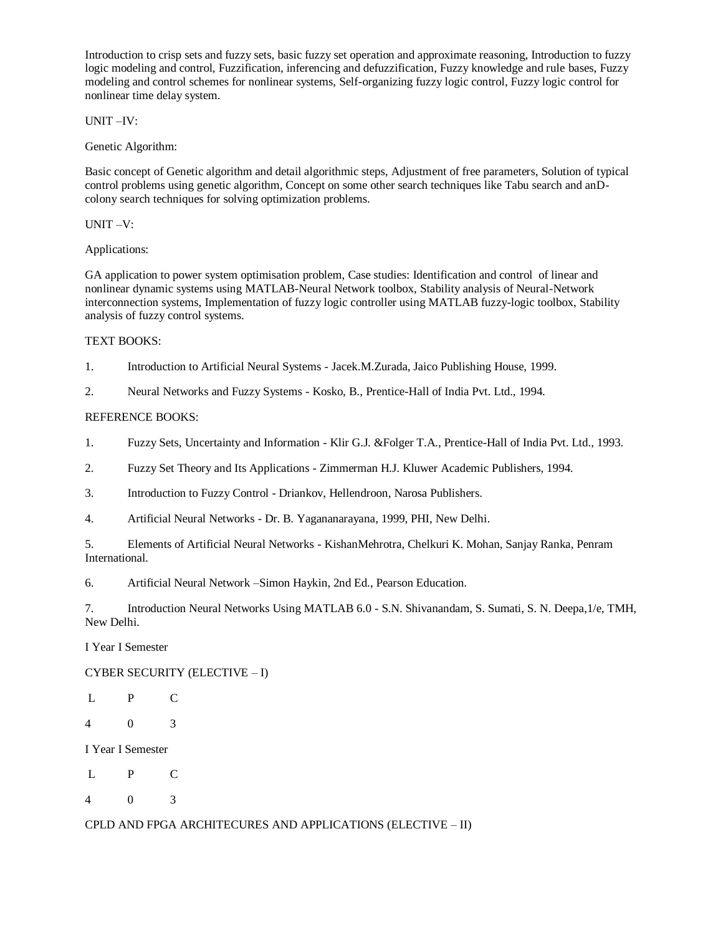Introduction to crisp sets and fuzzy sets, basic fuzzy set operation and approximate reasoning, Introduction to fuzzy logic modeling and control, Fuzzification, inferencing and defuzzification, Fuzzy knowledge and rule bases, Fuzzy modeling and control schemes for nonlinear systems, Self-organizing fuzzy logic control, Fuzzy logic control for nonlinear time delay system.

UNIT –IV:

Genetic Algorithm:

Basic concept of Genetic algorithm and detail algorithmic steps, Adjustment of free parameters, Solution of typical control problems using genetic algorithm, Concept on some other search techniques like Tabu search and anDcolony search techniques for solving optimization problems.

UNIT –V:

Applications:

GA application to power system optimisation problem, Case studies: Identification and control of linear and nonlinear dynamic systems using MATLAB-Neural Network toolbox, Stability analysis of Neural-Network interconnection systems, Implementation of fuzzy logic controller using MATLAB fuzzy-logic toolbox, Stability analysis of fuzzy control systems.

# TEXT BOOKS:

- 1. Introduction to Artificial Neural Systems Jacek.M.Zurada, Jaico Publishing House, 1999.
- 2. Neural Networks and Fuzzy Systems Kosko, B., Prentice-Hall of India Pvt. Ltd., 1994.

# REFERENCE BOOKS:

- 1. Fuzzy Sets, Uncertainty and Information Klir G.J. &Folger T.A., Prentice-Hall of India Pvt. Ltd., 1993.
- 2. Fuzzy Set Theory and Its Applications Zimmerman H.J. Kluwer Academic Publishers, 1994.
- 3. Introduction to Fuzzy Control Driankov, Hellendroon, Narosa Publishers.
- 4. Artificial Neural Networks Dr. B. Yagananarayana, 1999, PHI, New Delhi.
- 5. Elements of Artificial Neural Networks KishanMehrotra, Chelkuri K. Mohan, Sanjay Ranka, Penram International.
- 6. Artificial Neural Network –Simon Haykin, 2nd Ed., Pearson Education.

7. Introduction Neural Networks Using MATLAB 6.0 - S.N. Shivanandam, S. Sumati, S. N. Deepa,1/e, TMH, New Delhi.

I Year I Semester

# CYBER SECURITY (ELECTIVE – I)

- L P C
- 4 0 3
- I Year I Semester
- L P C
- 4 0 3

CPLD AND FPGA ARCHITECURES AND APPLICATIONS (ELECTIVE – II)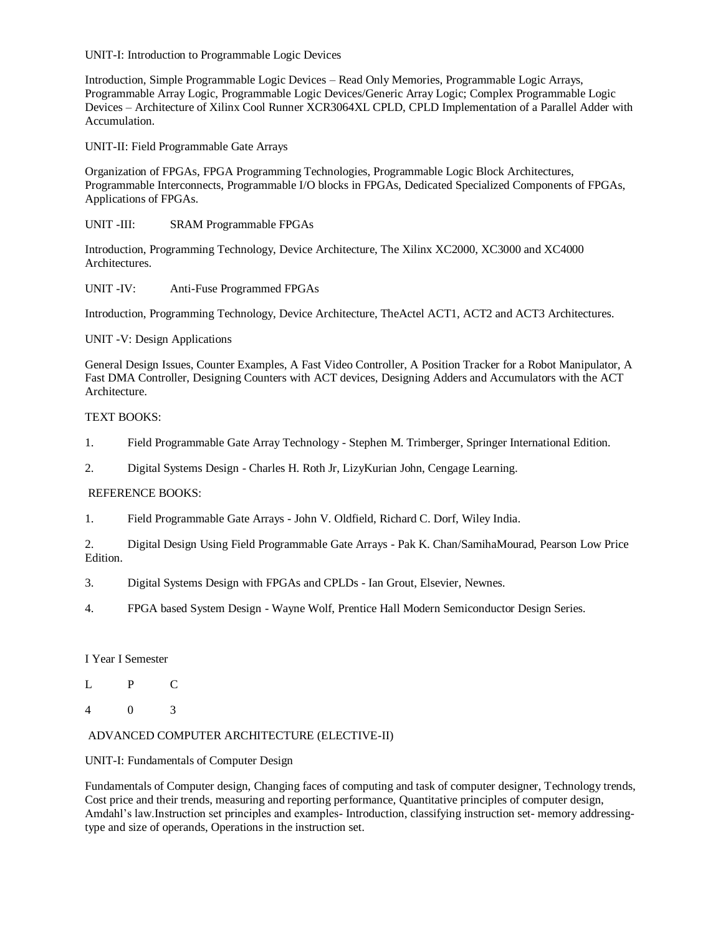UNIT-I: Introduction to Programmable Logic Devices

Introduction, Simple Programmable Logic Devices – Read Only Memories, Programmable Logic Arrays, Programmable Array Logic, Programmable Logic Devices/Generic Array Logic; Complex Programmable Logic Devices – Architecture of Xilinx Cool Runner XCR3064XL CPLD, CPLD Implementation of a Parallel Adder with Accumulation.

UNIT-II: Field Programmable Gate Arrays

Organization of FPGAs, FPGA Programming Technologies, Programmable Logic Block Architectures, Programmable Interconnects, Programmable I/O blocks in FPGAs, Dedicated Specialized Components of FPGAs, Applications of FPGAs.

UNIT -III: SRAM Programmable FPGAs

Introduction, Programming Technology, Device Architecture, The Xilinx XC2000, XC3000 and XC4000 Architectures.

UNIT -IV: Anti-Fuse Programmed FPGAs

Introduction, Programming Technology, Device Architecture, TheActel ACT1, ACT2 and ACT3 Architectures.

UNIT -V: Design Applications

General Design Issues, Counter Examples, A Fast Video Controller, A Position Tracker for a Robot Manipulator, A Fast DMA Controller, Designing Counters with ACT devices, Designing Adders and Accumulators with the ACT Architecture.

# TEXT BOOKS:

- 1. Field Programmable Gate Array Technology Stephen M. Trimberger, Springer International Edition.
- 2. Digital Systems Design Charles H. Roth Jr, LizyKurian John, Cengage Learning.

# REFERENCE BOOKS:

1. Field Programmable Gate Arrays - John V. Oldfield, Richard C. Dorf, Wiley India.

2. Digital Design Using Field Programmable Gate Arrays - Pak K. Chan/SamihaMourad, Pearson Low Price Edition.

- 3. Digital Systems Design with FPGAs and CPLDs Ian Grout, Elsevier, Newnes.
- 4. FPGA based System Design Wayne Wolf, Prentice Hall Modern Semiconductor Design Series.

# I Year I Semester

- L P C
- 4 0 3

# ADVANCED COMPUTER ARCHITECTURE (ELECTIVE-II)

# UNIT-I: Fundamentals of Computer Design

Fundamentals of Computer design, Changing faces of computing and task of computer designer, Technology trends, Cost price and their trends, measuring and reporting performance, Quantitative principles of computer design, Amdahl's law.Instruction set principles and examples- Introduction, classifying instruction set- memory addressingtype and size of operands, Operations in the instruction set.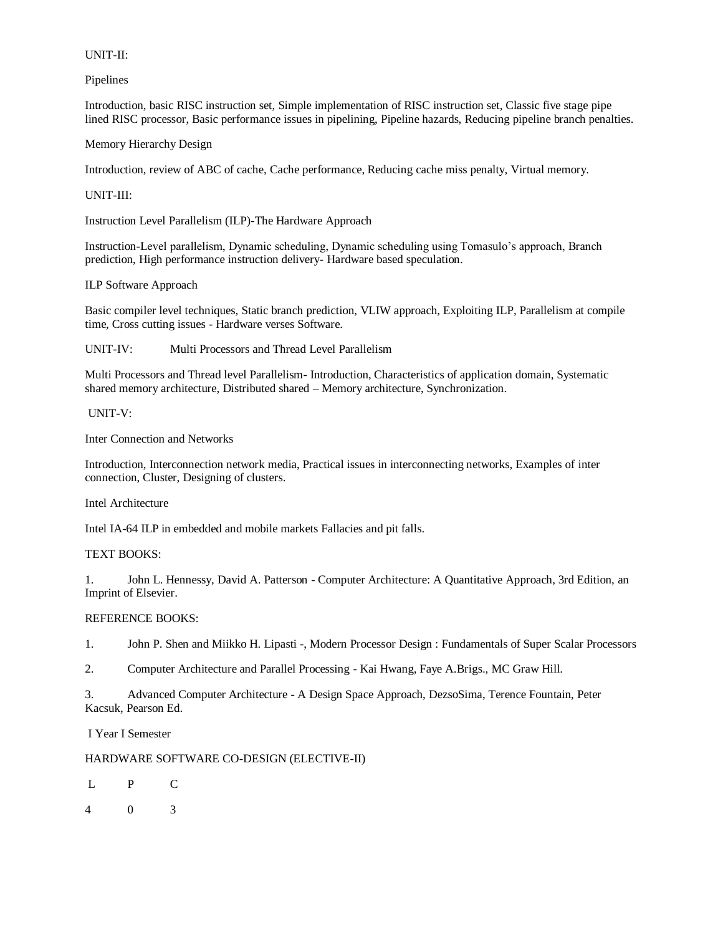### UNIT-II:

Pipelines

Introduction, basic RISC instruction set, Simple implementation of RISC instruction set, Classic five stage pipe lined RISC processor, Basic performance issues in pipelining, Pipeline hazards, Reducing pipeline branch penalties.

Memory Hierarchy Design

Introduction, review of ABC of cache, Cache performance, Reducing cache miss penalty, Virtual memory.

UNIT-III:

Instruction Level Parallelism (ILP)-The Hardware Approach

Instruction-Level parallelism, Dynamic scheduling, Dynamic scheduling using Tomasulo's approach, Branch prediction, High performance instruction delivery- Hardware based speculation.

ILP Software Approach

Basic compiler level techniques, Static branch prediction, VLIW approach, Exploiting ILP, Parallelism at compile time, Cross cutting issues - Hardware verses Software.

UNIT-IV: Multi Processors and Thread Level Parallelism

Multi Processors and Thread level Parallelism- Introduction, Characteristics of application domain, Systematic shared memory architecture, Distributed shared – Memory architecture, Synchronization.

UNIT-V:

Inter Connection and Networks

Introduction, Interconnection network media, Practical issues in interconnecting networks, Examples of inter connection, Cluster, Designing of clusters.

Intel Architecture

Intel IA-64 ILP in embedded and mobile markets Fallacies and pit falls.

## TEXT BOOKS:

1. John L. Hennessy, David A. Patterson - Computer Architecture: A Quantitative Approach, 3rd Edition, an Imprint of Elsevier.

# REFERENCE BOOKS:

1. John P. Shen and Miikko H. Lipasti -, Modern Processor Design : Fundamentals of Super Scalar Processors

2. Computer Architecture and Parallel Processing - Kai Hwang, Faye A.Brigs., MC Graw Hill.

3. Advanced Computer Architecture - A Design Space Approach, DezsoSima, Terence Fountain, Peter Kacsuk, Pearson Ed.

I Year I Semester

HARDWARE SOFTWARE CO-DESIGN (ELECTIVE-II)

- L P C
- 4 0 3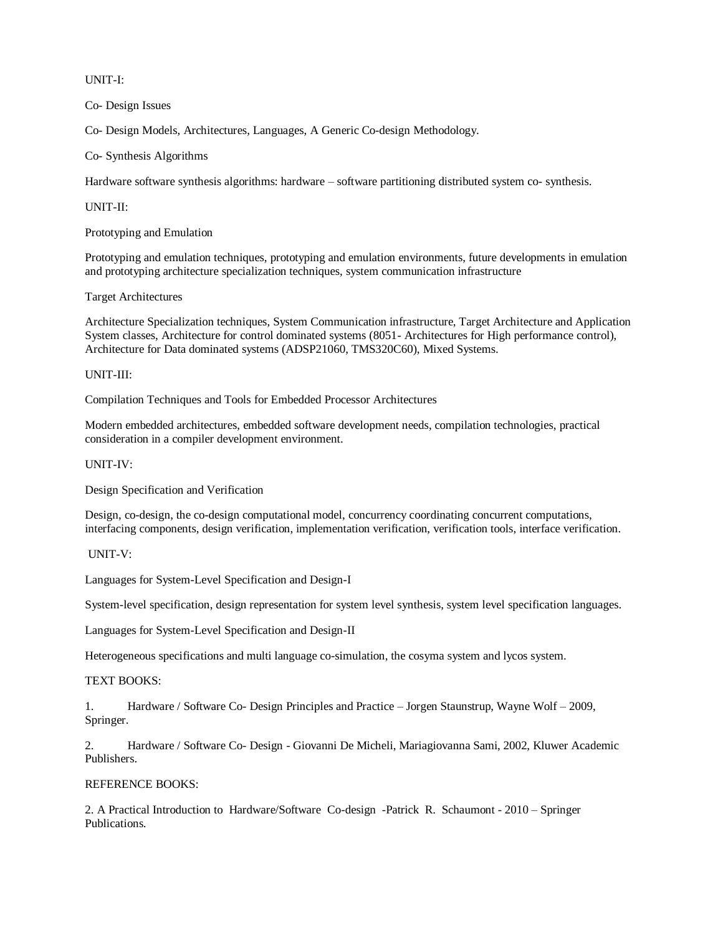UNIT-I:

Co- Design Issues

Co- Design Models, Architectures, Languages, A Generic Co-design Methodology.

Co- Synthesis Algorithms

Hardware software synthesis algorithms: hardware – software partitioning distributed system co- synthesis.

UNIT-II:

Prototyping and Emulation

Prototyping and emulation techniques, prototyping and emulation environments, future developments in emulation and prototyping architecture specialization techniques, system communication infrastructure

Target Architectures

Architecture Specialization techniques, System Communication infrastructure, Target Architecture and Application System classes, Architecture for control dominated systems (8051- Architectures for High performance control), Architecture for Data dominated systems (ADSP21060, TMS320C60), Mixed Systems.

UNIT-III:

Compilation Techniques and Tools for Embedded Processor Architectures

Modern embedded architectures, embedded software development needs, compilation technologies, practical consideration in a compiler development environment.

UNIT-IV:

Design Specification and Verification

Design, co-design, the co-design computational model, concurrency coordinating concurrent computations, interfacing components, design verification, implementation verification, verification tools, interface verification.

UNIT-V:

Languages for System-Level Specification and Design-I

System-level specification, design representation for system level synthesis, system level specification languages.

Languages for System-Level Specification and Design-II

Heterogeneous specifications and multi language co-simulation, the cosyma system and lycos system.

TEXT BOOKS:

1. Hardware / Software Co- Design Principles and Practice – Jorgen Staunstrup, Wayne Wolf – 2009, Springer.

2. Hardware / Software Co- Design - Giovanni De Micheli, Mariagiovanna Sami, 2002, Kluwer Academic Publishers.

# REFERENCE BOOKS:

2. A Practical Introduction to Hardware/Software Co-design -Patrick R. Schaumont - 2010 – Springer Publications.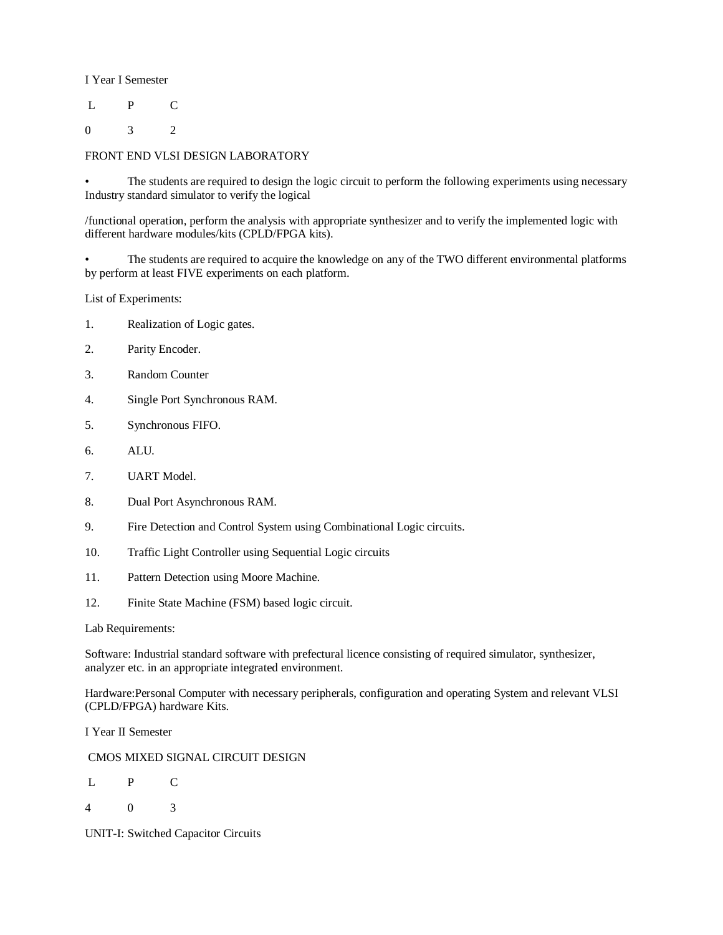I Year I Semester

L P C

0 3 2

# FRONT END VLSI DESIGN LABORATORY

The students are required to design the logic circuit to perform the following experiments using necessary Industry standard simulator to verify the logical

/functional operation, perform the analysis with appropriate synthesizer and to verify the implemented logic with different hardware modules/kits (CPLD/FPGA kits).

• The students are required to acquire the knowledge on any of the TWO different environmental platforms by perform at least FIVE experiments on each platform.

List of Experiments:

- 1. Realization of Logic gates.
- 2. Parity Encoder.
- 3. Random Counter
- 4. Single Port Synchronous RAM.
- 5. Synchronous FIFO.
- 6. ALU.
- 7. UART Model.
- 8. Dual Port Asynchronous RAM.
- 9. Fire Detection and Control System using Combinational Logic circuits.
- 10. Traffic Light Controller using Sequential Logic circuits
- 11. Pattern Detection using Moore Machine.
- 12. Finite State Machine (FSM) based logic circuit.

Lab Requirements:

Software: Industrial standard software with prefectural licence consisting of required simulator, synthesizer, analyzer etc. in an appropriate integrated environment.

Hardware:Personal Computer with necessary peripherals, configuration and operating System and relevant VLSI (CPLD/FPGA) hardware Kits.

I Year II Semester

CMOS MIXED SIGNAL CIRCUIT DESIGN

- L P C
- 4 0 3

UNIT-I: Switched Capacitor Circuits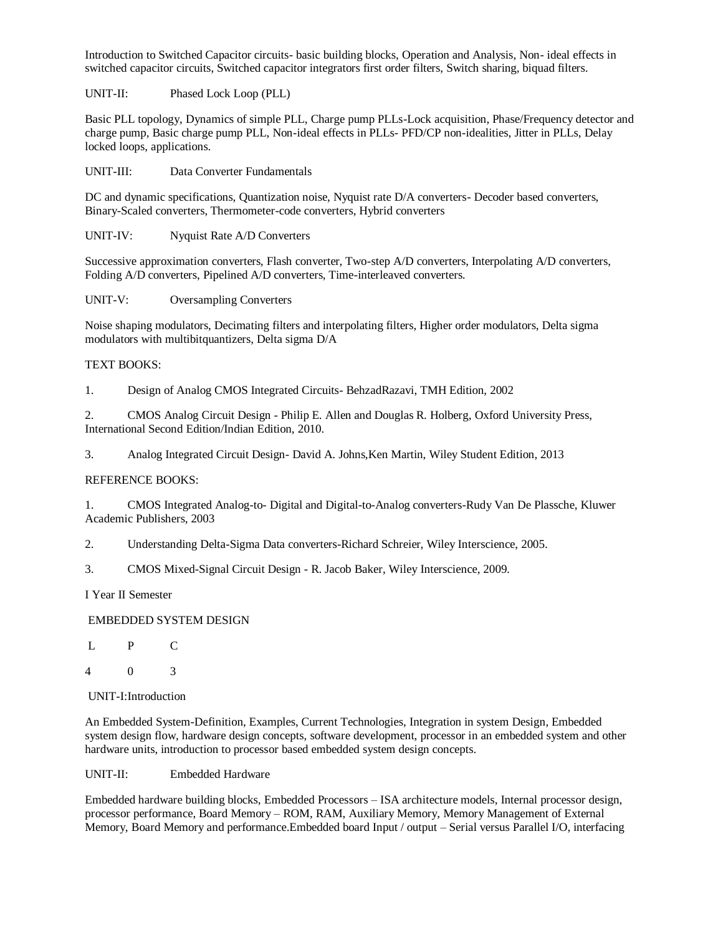Introduction to Switched Capacitor circuits- basic building blocks, Operation and Analysis, Non- ideal effects in switched capacitor circuits, Switched capacitor integrators first order filters, Switch sharing, biquad filters.

UNIT-II: Phased Lock Loop (PLL)

Basic PLL topology, Dynamics of simple PLL, Charge pump PLLs-Lock acquisition, Phase/Frequency detector and charge pump, Basic charge pump PLL, Non-ideal effects in PLLs- PFD/CP non-idealities, Jitter in PLLs, Delay locked loops, applications.

UNIT-III: Data Converter Fundamentals

DC and dynamic specifications, Quantization noise, Nyquist rate D/A converters- Decoder based converters, Binary-Scaled converters, Thermometer-code converters, Hybrid converters

UNIT-IV: Nyquist Rate A/D Converters

Successive approximation converters, Flash converter, Two-step A/D converters, Interpolating A/D converters, Folding A/D converters, Pipelined A/D converters, Time-interleaved converters.

UNIT-V: Oversampling Converters

Noise shaping modulators, Decimating filters and interpolating filters, Higher order modulators, Delta sigma modulators with multibitquantizers, Delta sigma D/A

### TEXT BOOKS:

1. Design of Analog CMOS Integrated Circuits- BehzadRazavi, TMH Edition, 2002

2. CMOS Analog Circuit Design - Philip E. Allen and Douglas R. Holberg, Oxford University Press, International Second Edition/Indian Edition, 2010.

3. Analog Integrated Circuit Design- David A. Johns,Ken Martin, Wiley Student Edition, 2013

#### REFERENCE BOOKS:

1. CMOS Integrated Analog-to- Digital and Digital-to-Analog converters-Rudy Van De Plassche, Kluwer Academic Publishers, 2003

2. Understanding Delta-Sigma Data converters-Richard Schreier, Wiley Interscience, 2005.

3. CMOS Mixed-Signal Circuit Design - R. Jacob Baker, Wiley Interscience, 2009.

I Year II Semester

#### EMBEDDED SYSTEM DESIGN

L P C

4 0 3

#### UNIT-I:Introduction

An Embedded System-Definition, Examples, Current Technologies, Integration in system Design, Embedded system design flow, hardware design concepts, software development, processor in an embedded system and other hardware units, introduction to processor based embedded system design concepts.

#### UNIT-II: Embedded Hardware

Embedded hardware building blocks, Embedded Processors – ISA architecture models, Internal processor design, processor performance, Board Memory – ROM, RAM, Auxiliary Memory, Memory Management of External Memory, Board Memory and performance.Embedded board Input / output – Serial versus Parallel I/O, interfacing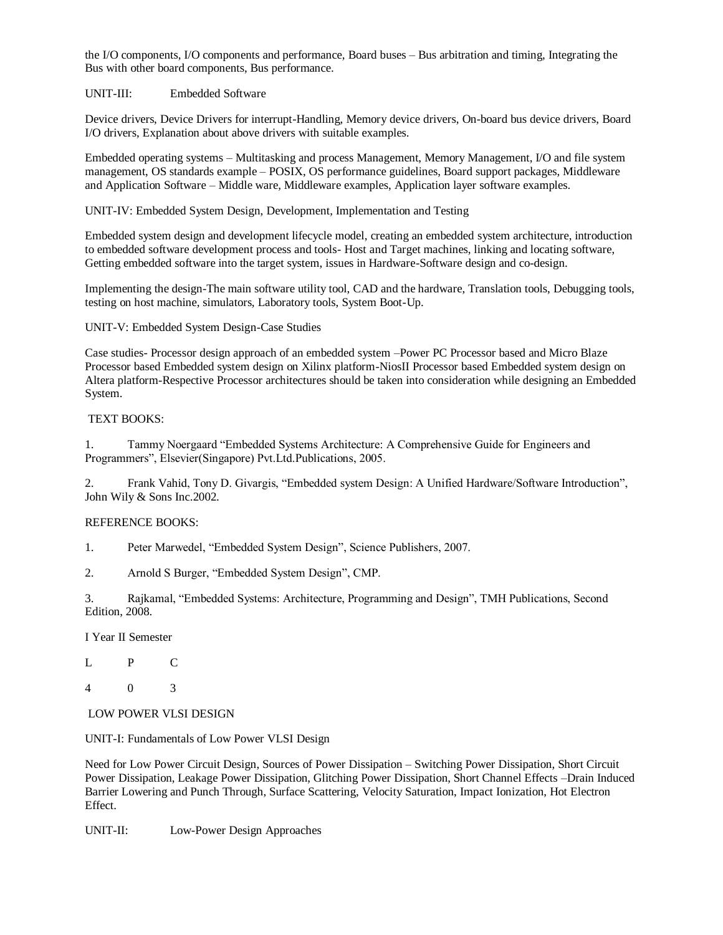the I/O components, I/O components and performance, Board buses – Bus arbitration and timing, Integrating the Bus with other board components, Bus performance.

UNIT-III: Embedded Software

Device drivers, Device Drivers for interrupt-Handling, Memory device drivers, On-board bus device drivers, Board I/O drivers, Explanation about above drivers with suitable examples.

Embedded operating systems – Multitasking and process Management, Memory Management, I/O and file system management, OS standards example – POSIX, OS performance guidelines, Board support packages, Middleware and Application Software – Middle ware, Middleware examples, Application layer software examples.

UNIT-IV: Embedded System Design, Development, Implementation and Testing

Embedded system design and development lifecycle model, creating an embedded system architecture, introduction to embedded software development process and tools- Host and Target machines, linking and locating software, Getting embedded software into the target system, issues in Hardware-Software design and co-design.

Implementing the design-The main software utility tool, CAD and the hardware, Translation tools, Debugging tools, testing on host machine, simulators, Laboratory tools, System Boot-Up.

UNIT-V: Embedded System Design-Case Studies

Case studies- Processor design approach of an embedded system –Power PC Processor based and Micro Blaze Processor based Embedded system design on Xilinx platform-NiosII Processor based Embedded system design on Altera platform-Respective Processor architectures should be taken into consideration while designing an Embedded System.

### TEXT BOOKS:

1. Tammy Noergaard "Embedded Systems Architecture: A Comprehensive Guide for Engineers and Programmers", Elsevier(Singapore) Pvt.Ltd.Publications, 2005.

2. Frank Vahid, Tony D. Givargis, "Embedded system Design: A Unified Hardware/Software Introduction", John Wily & Sons Inc.2002.

#### REFERENCE BOOKS:

1. Peter Marwedel, "Embedded System Design", Science Publishers, 2007.

2. Arnold S Burger, "Embedded System Design", CMP.

3. Rajkamal, "Embedded Systems: Architecture, Programming and Design", TMH Publications, Second Edition, 2008.

I Year II Semester

L P C

4 0 3

LOW POWER VLSI DESIGN

UNIT-I: Fundamentals of Low Power VLSI Design

Need for Low Power Circuit Design, Sources of Power Dissipation – Switching Power Dissipation, Short Circuit Power Dissipation, Leakage Power Dissipation, Glitching Power Dissipation, Short Channel Effects –Drain Induced Barrier Lowering and Punch Through, Surface Scattering, Velocity Saturation, Impact Ionization, Hot Electron Effect.

UNIT-II: Low-Power Design Approaches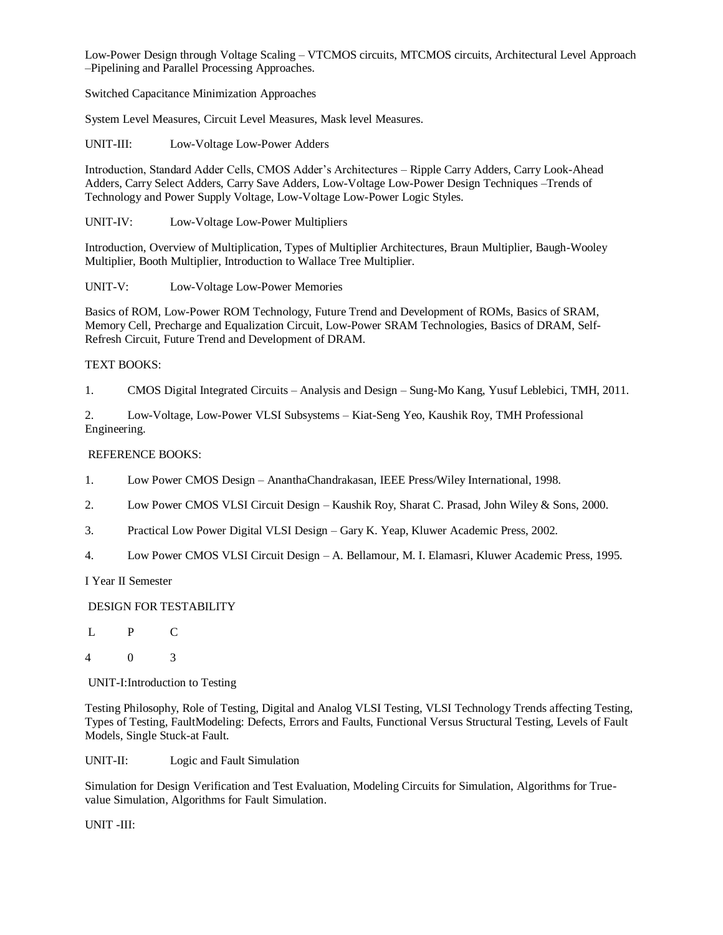Low-Power Design through Voltage Scaling – VTCMOS circuits, MTCMOS circuits, Architectural Level Approach –Pipelining and Parallel Processing Approaches.

Switched Capacitance Minimization Approaches

System Level Measures, Circuit Level Measures, Mask level Measures.

UNIT-III: Low-Voltage Low-Power Adders

Introduction, Standard Adder Cells, CMOS Adder's Architectures – Ripple Carry Adders, Carry Look-Ahead Adders, Carry Select Adders, Carry Save Adders, Low-Voltage Low-Power Design Techniques –Trends of Technology and Power Supply Voltage, Low-Voltage Low-Power Logic Styles.

UNIT-IV: Low-Voltage Low-Power Multipliers

Introduction, Overview of Multiplication, Types of Multiplier Architectures, Braun Multiplier, Baugh-Wooley Multiplier, Booth Multiplier, Introduction to Wallace Tree Multiplier.

UNIT-V: Low-Voltage Low-Power Memories

Basics of ROM, Low-Power ROM Technology, Future Trend and Development of ROMs, Basics of SRAM, Memory Cell, Precharge and Equalization Circuit, Low-Power SRAM Technologies, Basics of DRAM, Self-Refresh Circuit, Future Trend and Development of DRAM.

# TEXT BOOKS:

1. CMOS Digital Integrated Circuits – Analysis and Design – Sung-Mo Kang, Yusuf Leblebici, TMH, 2011.

2. Low-Voltage, Low-Power VLSI Subsystems – Kiat-Seng Yeo, Kaushik Roy, TMH Professional Engineering.

# REFERENCE BOOKS:

- 1. Low Power CMOS Design AnanthaChandrakasan, IEEE Press/Wiley International, 1998.
- 2. Low Power CMOS VLSI Circuit Design Kaushik Roy, Sharat C. Prasad, John Wiley & Sons, 2000.
- 3. Practical Low Power Digital VLSI Design Gary K. Yeap, Kluwer Academic Press, 2002.
- 4. Low Power CMOS VLSI Circuit Design A. Bellamour, M. I. Elamasri, Kluwer Academic Press, 1995.

I Year II Semester

# DESIGN FOR TESTABILITY

- L P C
- 4 0 3

UNIT-I:Introduction to Testing

Testing Philosophy, Role of Testing, Digital and Analog VLSI Testing, VLSI Technology Trends affecting Testing, Types of Testing, FaultModeling: Defects, Errors and Faults, Functional Versus Structural Testing, Levels of Fault Models, Single Stuck-at Fault.

UNIT-II: Logic and Fault Simulation

Simulation for Design Verification and Test Evaluation, Modeling Circuits for Simulation, Algorithms for Truevalue Simulation, Algorithms for Fault Simulation.

UNIT -III: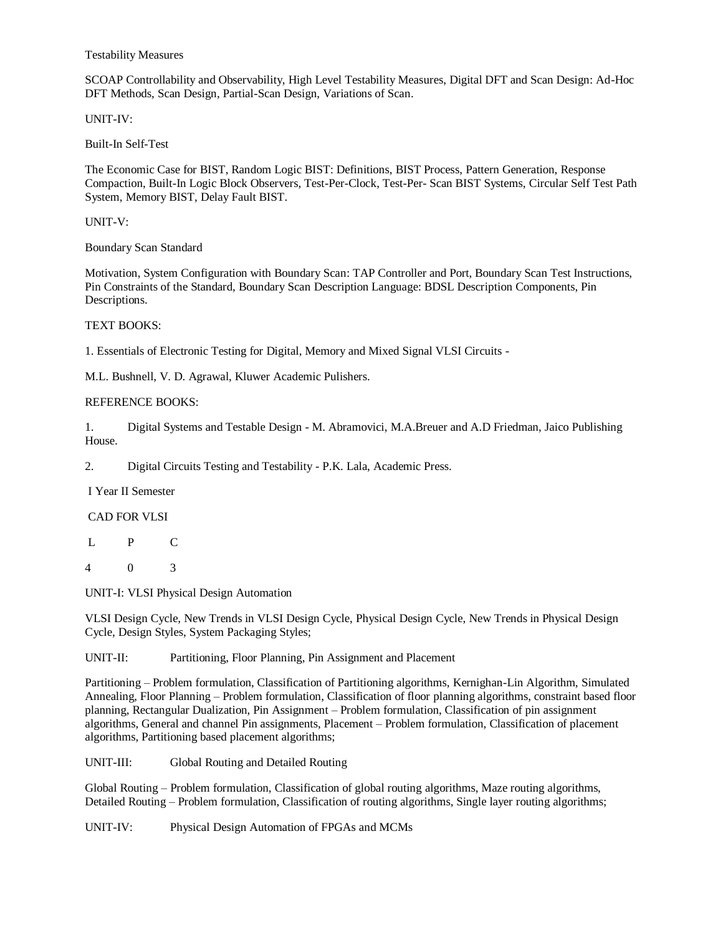Testability Measures

SCOAP Controllability and Observability, High Level Testability Measures, Digital DFT and Scan Design: Ad-Hoc DFT Methods, Scan Design, Partial-Scan Design, Variations of Scan.

UNIT-IV:

Built-In Self-Test

The Economic Case for BIST, Random Logic BIST: Definitions, BIST Process, Pattern Generation, Response Compaction, Built-In Logic Block Observers, Test-Per-Clock, Test-Per- Scan BIST Systems, Circular Self Test Path System, Memory BIST, Delay Fault BIST.

UNIT-V:

Boundary Scan Standard

Motivation, System Configuration with Boundary Scan: TAP Controller and Port, Boundary Scan Test Instructions, Pin Constraints of the Standard, Boundary Scan Description Language: BDSL Description Components, Pin Descriptions.

### TEXT BOOKS:

1. Essentials of Electronic Testing for Digital, Memory and Mixed Signal VLSI Circuits -

M.L. Bushnell, V. D. Agrawal, Kluwer Academic Pulishers.

#### REFERENCE BOOKS:

1. Digital Systems and Testable Design - M. Abramovici, M.A.Breuer and A.D Friedman, Jaico Publishing House.

2. Digital Circuits Testing and Testability - P.K. Lala, Academic Press.

I Year II Semester

#### CAD FOR VLSI

- L P C
- 4 0 3

UNIT-I: VLSI Physical Design Automation

VLSI Design Cycle, New Trends in VLSI Design Cycle, Physical Design Cycle, New Trends in Physical Design Cycle, Design Styles, System Packaging Styles;

UNIT-II: Partitioning, Floor Planning, Pin Assignment and Placement

Partitioning – Problem formulation, Classification of Partitioning algorithms, Kernighan-Lin Algorithm, Simulated Annealing, Floor Planning – Problem formulation, Classification of floor planning algorithms, constraint based floor planning, Rectangular Dualization, Pin Assignment – Problem formulation, Classification of pin assignment algorithms, General and channel Pin assignments, Placement – Problem formulation, Classification of placement algorithms, Partitioning based placement algorithms;

UNIT-III: Global Routing and Detailed Routing

Global Routing – Problem formulation, Classification of global routing algorithms, Maze routing algorithms, Detailed Routing – Problem formulation, Classification of routing algorithms, Single layer routing algorithms;

UNIT-IV: Physical Design Automation of FPGAs and MCMs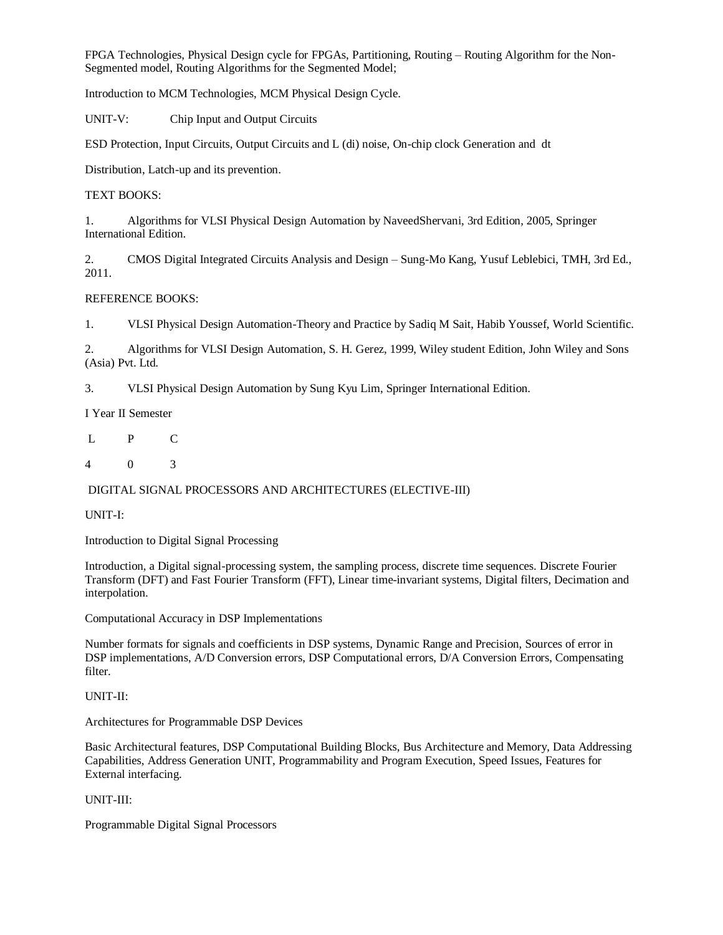FPGA Technologies, Physical Design cycle for FPGAs, Partitioning, Routing – Routing Algorithm for the Non-Segmented model, Routing Algorithms for the Segmented Model;

Introduction to MCM Technologies, MCM Physical Design Cycle.

UNIT-V: Chip Input and Output Circuits

ESD Protection, Input Circuits, Output Circuits and L (di) noise, On-chip clock Generation and dt

Distribution, Latch-up and its prevention.

# TEXT BOOKS:

1. Algorithms for VLSI Physical Design Automation by NaveedShervani, 3rd Edition, 2005, Springer International Edition.

2. CMOS Digital Integrated Circuits Analysis and Design – Sung-Mo Kang, Yusuf Leblebici, TMH, 3rd Ed., 2011.

# REFERENCE BOOKS:

1. VLSI Physical Design Automation-Theory and Practice by Sadiq M Sait, Habib Youssef, World Scientific.

2. Algorithms for VLSI Design Automation, S. H. Gerez, 1999, Wiley student Edition, John Wiley and Sons (Asia) Pvt. Ltd.

3. VLSI Physical Design Automation by Sung Kyu Lim, Springer International Edition.

I Year II Semester

L P C

4 0 3

# DIGITAL SIGNAL PROCESSORS AND ARCHITECTURES (ELECTIVE-III)

UNIT-I:

Introduction to Digital Signal Processing

Introduction, a Digital signal-processing system, the sampling process, discrete time sequences. Discrete Fourier Transform (DFT) and Fast Fourier Transform (FFT), Linear time-invariant systems, Digital filters, Decimation and interpolation.

Computational Accuracy in DSP Implementations

Number formats for signals and coefficients in DSP systems, Dynamic Range and Precision, Sources of error in DSP implementations, A/D Conversion errors, DSP Computational errors, D/A Conversion Errors, Compensating filter.

# UNIT-II:

Architectures for Programmable DSP Devices

Basic Architectural features, DSP Computational Building Blocks, Bus Architecture and Memory, Data Addressing Capabilities, Address Generation UNIT, Programmability and Program Execution, Speed Issues, Features for External interfacing.

UNIT-III:

Programmable Digital Signal Processors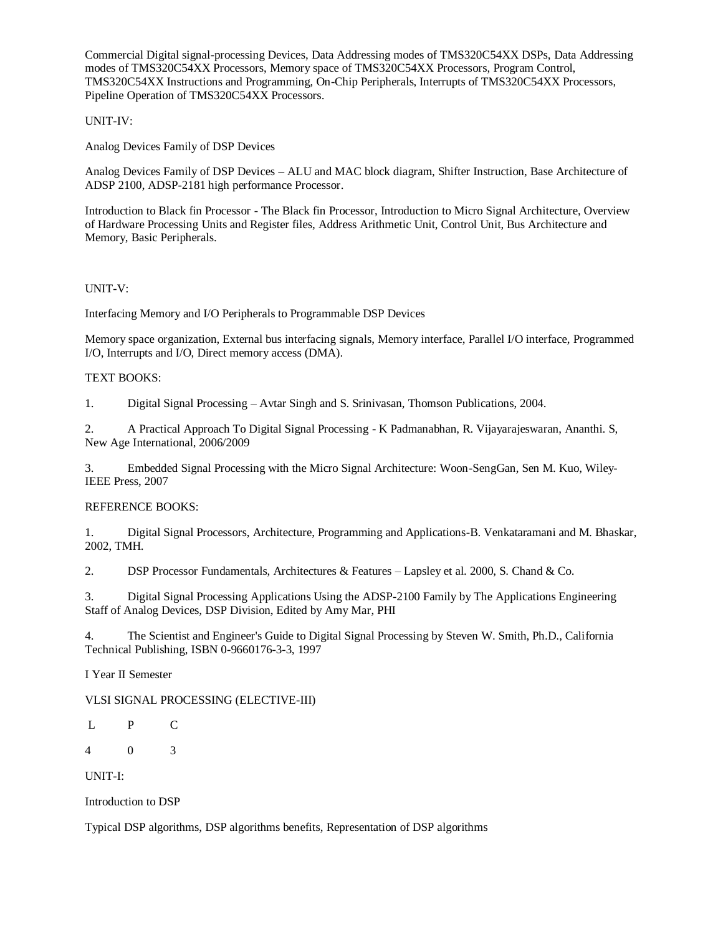Commercial Digital signal-processing Devices, Data Addressing modes of TMS320C54XX DSPs, Data Addressing modes of TMS320C54XX Processors, Memory space of TMS320C54XX Processors, Program Control, TMS320C54XX Instructions and Programming, On-Chip Peripherals, Interrupts of TMS320C54XX Processors, Pipeline Operation of TMS320C54XX Processors.

# UNIT-IV:

Analog Devices Family of DSP Devices

Analog Devices Family of DSP Devices – ALU and MAC block diagram, Shifter Instruction, Base Architecture of ADSP 2100, ADSP-2181 high performance Processor.

Introduction to Black fin Processor - The Black fin Processor, Introduction to Micro Signal Architecture, Overview of Hardware Processing Units and Register files, Address Arithmetic Unit, Control Unit, Bus Architecture and Memory, Basic Peripherals.

# UNIT-V:

Interfacing Memory and I/O Peripherals to Programmable DSP Devices

Memory space organization, External bus interfacing signals, Memory interface, Parallel I/O interface, Programmed I/O, Interrupts and I/O, Direct memory access (DMA).

### TEXT BOOKS:

1. Digital Signal Processing – Avtar Singh and S. Srinivasan, Thomson Publications, 2004.

2. A Practical Approach To Digital Signal Processing - K Padmanabhan, R. Vijayarajeswaran, Ananthi. S, New Age International, 2006/2009

3. Embedded Signal Processing with the Micro Signal Architecture: Woon-SengGan, Sen M. Kuo, Wiley-IEEE Press, 2007

# REFERENCE BOOKS:

1. Digital Signal Processors, Architecture, Programming and Applications-B. Venkataramani and M. Bhaskar, 2002, TMH.

2. DSP Processor Fundamentals, Architectures & Features – Lapsley et al. 2000, S. Chand & Co.

3. Digital Signal Processing Applications Using the ADSP-2100 Family by The Applications Engineering Staff of Analog Devices, DSP Division, Edited by Amy Mar, PHI

4. The Scientist and Engineer's Guide to Digital Signal Processing by Steven W. Smith, Ph.D., California Technical Publishing, ISBN 0-9660176-3-3, 1997

I Year II Semester

VLSI SIGNAL PROCESSING (ELECTIVE-III)

L P C

4 0 3

UNIT-I:

Introduction to DSP

Typical DSP algorithms, DSP algorithms benefits, Representation of DSP algorithms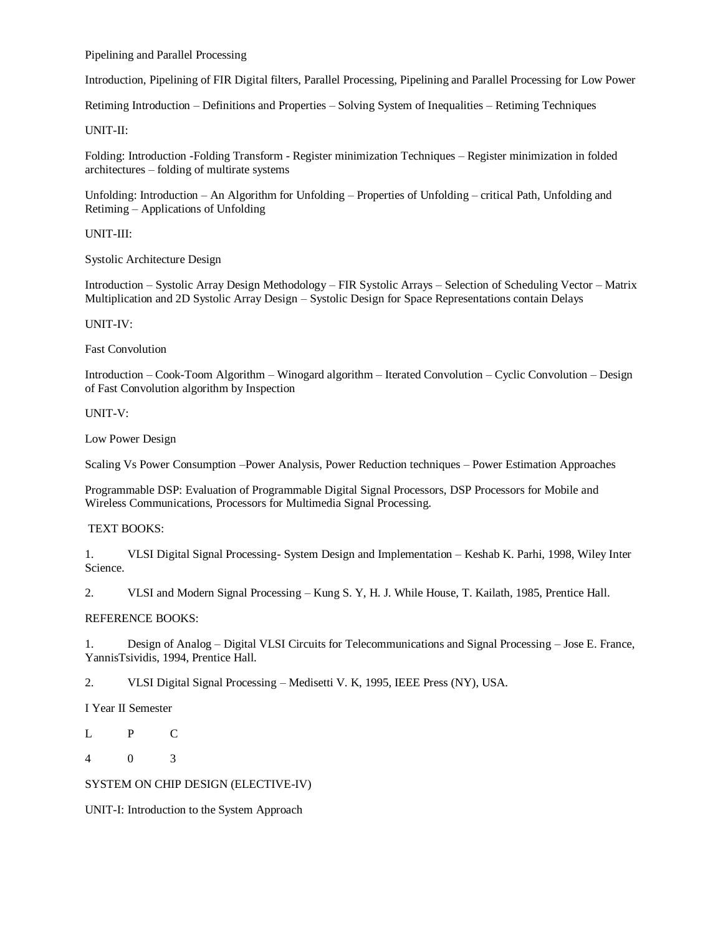Pipelining and Parallel Processing

Introduction, Pipelining of FIR Digital filters, Parallel Processing, Pipelining and Parallel Processing for Low Power

Retiming Introduction – Definitions and Properties – Solving System of Inequalities – Retiming Techniques

#### UNIT-II:

Folding: Introduction -Folding Transform - Register minimization Techniques – Register minimization in folded architectures – folding of multirate systems

Unfolding: Introduction – An Algorithm for Unfolding – Properties of Unfolding – critical Path, Unfolding and Retiming – Applications of Unfolding

UNIT-III:

Systolic Architecture Design

Introduction – Systolic Array Design Methodology – FIR Systolic Arrays – Selection of Scheduling Vector – Matrix Multiplication and 2D Systolic Array Design – Systolic Design for Space Representations contain Delays

UNIT-IV:

Fast Convolution

Introduction – Cook-Toom Algorithm – Winogard algorithm – Iterated Convolution – Cyclic Convolution – Design of Fast Convolution algorithm by Inspection

UNIT-V:

Low Power Design

Scaling Vs Power Consumption –Power Analysis, Power Reduction techniques – Power Estimation Approaches

Programmable DSP: Evaluation of Programmable Digital Signal Processors, DSP Processors for Mobile and Wireless Communications, Processors for Multimedia Signal Processing.

# TEXT BOOKS:

1. VLSI Digital Signal Processing- System Design and Implementation – Keshab K. Parhi, 1998, Wiley Inter Science.

2. VLSI and Modern Signal Processing – Kung S. Y, H. J. While House, T. Kailath, 1985, Prentice Hall.

#### REFERENCE BOOKS:

1. Design of Analog – Digital VLSI Circuits for Telecommunications and Signal Processing – Jose E. France, YannisTsividis, 1994, Prentice Hall.

2. VLSI Digital Signal Processing – Medisetti V. K, 1995, IEEE Press (NY), USA.

I Year II Semester

L P C

4 0 3

SYSTEM ON CHIP DESIGN (ELECTIVE-IV)

UNIT-I: Introduction to the System Approach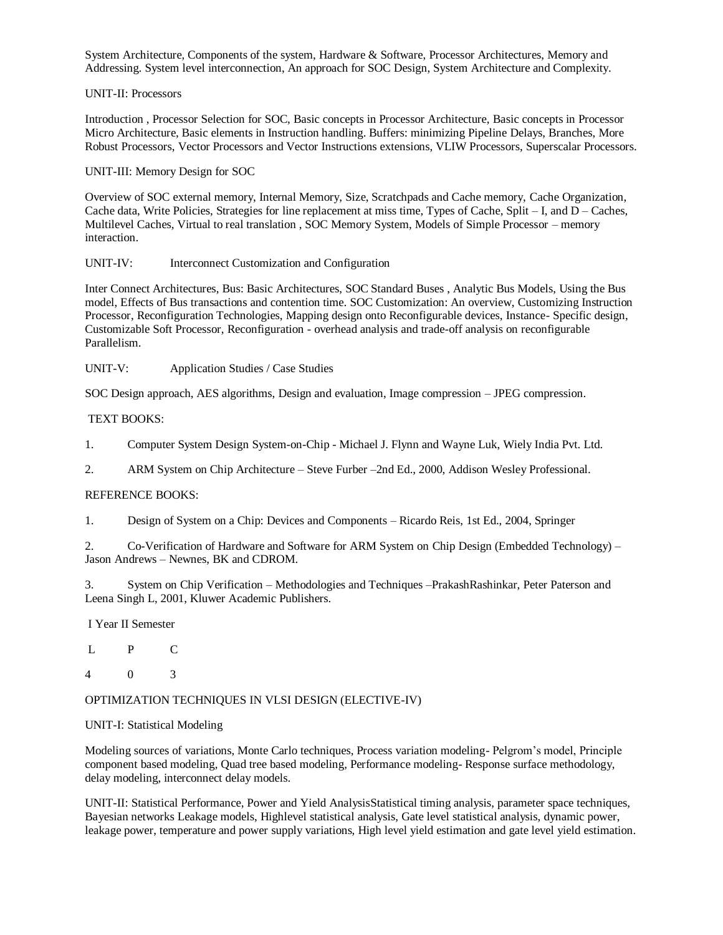System Architecture, Components of the system, Hardware & Software, Processor Architectures, Memory and Addressing. System level interconnection, An approach for SOC Design, System Architecture and Complexity.

### UNIT-II: Processors

Introduction , Processor Selection for SOC, Basic concepts in Processor Architecture, Basic concepts in Processor Micro Architecture, Basic elements in Instruction handling. Buffers: minimizing Pipeline Delays, Branches, More Robust Processors, Vector Processors and Vector Instructions extensions, VLIW Processors, Superscalar Processors.

# UNIT-III: Memory Design for SOC

Overview of SOC external memory, Internal Memory, Size, Scratchpads and Cache memory, Cache Organization, Cache data, Write Policies, Strategies for line replacement at miss time, Types of Cache, Split – I, and D – Caches, Multilevel Caches, Virtual to real translation , SOC Memory System, Models of Simple Processor – memory interaction.

### UNIT-IV: Interconnect Customization and Configuration

Inter Connect Architectures, Bus: Basic Architectures, SOC Standard Buses , Analytic Bus Models, Using the Bus model, Effects of Bus transactions and contention time. SOC Customization: An overview, Customizing Instruction Processor, Reconfiguration Technologies, Mapping design onto Reconfigurable devices, Instance- Specific design, Customizable Soft Processor, Reconfiguration - overhead analysis and trade-off analysis on reconfigurable Parallelism.

UNIT-V: Application Studies / Case Studies

SOC Design approach, AES algorithms, Design and evaluation, Image compression – JPEG compression.

### TEXT BOOKS:

1. Computer System Design System-on-Chip - Michael J. Flynn and Wayne Luk, Wiely India Pvt. Ltd.

2. ARM System on Chip Architecture – Steve Furber –2nd Ed., 2000, Addison Wesley Professional.

# REFERENCE BOOKS:

1. Design of System on a Chip: Devices and Components – Ricardo Reis, 1st Ed., 2004, Springer

2. Co-Verification of Hardware and Software for ARM System on Chip Design (Embedded Technology) – Jason Andrews – Newnes, BK and CDROM.

3. System on Chip Verification – Methodologies and Techniques –PrakashRashinkar, Peter Paterson and Leena Singh L, 2001, Kluwer Academic Publishers.

I Year II Semester

L P C

4 0 3

### OPTIMIZATION TECHNIQUES IN VLSI DESIGN (ELECTIVE-IV)

# UNIT-I: Statistical Modeling

Modeling sources of variations, Monte Carlo techniques, Process variation modeling- Pelgrom's model, Principle component based modeling, Quad tree based modeling, Performance modeling- Response surface methodology, delay modeling, interconnect delay models.

UNIT-II: Statistical Performance, Power and Yield AnalysisStatistical timing analysis, parameter space techniques, Bayesian networks Leakage models, Highlevel statistical analysis, Gate level statistical analysis, dynamic power, leakage power, temperature and power supply variations, High level yield estimation and gate level yield estimation.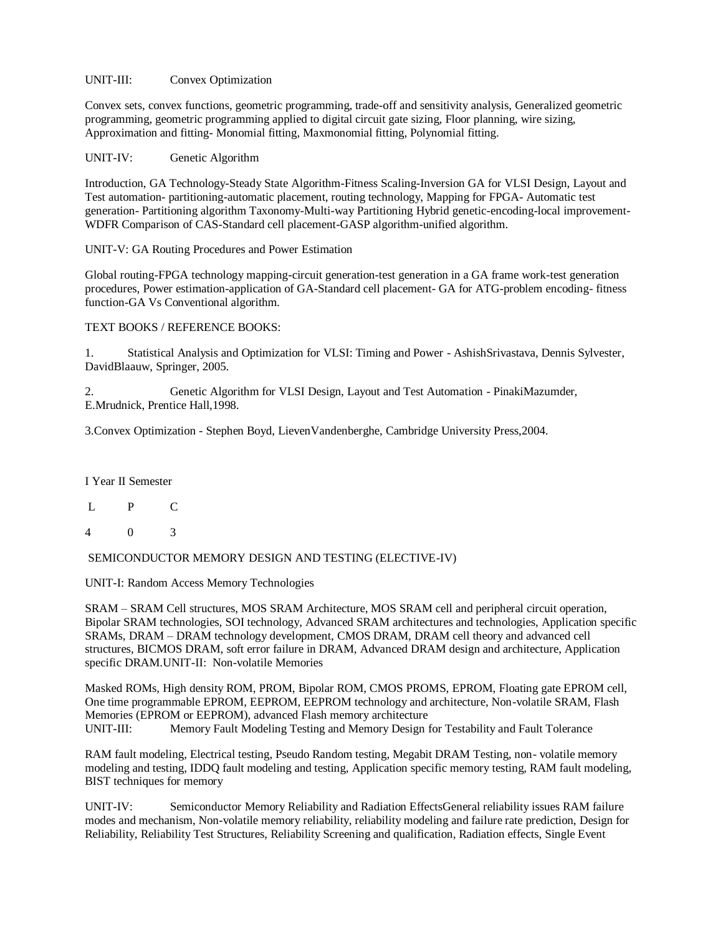UNIT-III: Convex Optimization

Convex sets, convex functions, geometric programming, trade-off and sensitivity analysis, Generalized geometric programming, geometric programming applied to digital circuit gate sizing, Floor planning, wire sizing, Approximation and fitting- Monomial fitting, Maxmonomial fitting, Polynomial fitting.

UNIT-IV: Genetic Algorithm

Introduction, GA Technology-Steady State Algorithm-Fitness Scaling-Inversion GA for VLSI Design, Layout and Test automation- partitioning-automatic placement, routing technology, Mapping for FPGA- Automatic test generation- Partitioning algorithm Taxonomy-Multi-way Partitioning Hybrid genetic-encoding-local improvement-WDFR Comparison of CAS-Standard cell placement-GASP algorithm-unified algorithm.

UNIT-V: GA Routing Procedures and Power Estimation

Global routing-FPGA technology mapping-circuit generation-test generation in a GA frame work-test generation procedures, Power estimation-application of GA-Standard cell placement- GA for ATG-problem encoding- fitness function-GA Vs Conventional algorithm.

TEXT BOOKS / REFERENCE BOOKS:

1. Statistical Analysis and Optimization for VLSI: Timing and Power - AshishSrivastava, Dennis Sylvester, DavidBlaauw, Springer, 2005.

2. Genetic Algorithm for VLSI Design, Layout and Test Automation - PinakiMazumder, E.Mrudnick, Prentice Hall,1998.

3.Convex Optimization - Stephen Boyd, LievenVandenberghe, Cambridge University Press,2004.

I Year II Semester

- L P C
- 4 0 3

SEMICONDUCTOR MEMORY DESIGN AND TESTING (ELECTIVE-IV)

UNIT-I: Random Access Memory Technologies

SRAM – SRAM Cell structures, MOS SRAM Architecture, MOS SRAM cell and peripheral circuit operation, Bipolar SRAM technologies, SOI technology, Advanced SRAM architectures and technologies, Application specific SRAMs, DRAM – DRAM technology development, CMOS DRAM, DRAM cell theory and advanced cell structures, BICMOS DRAM, soft error failure in DRAM, Advanced DRAM design and architecture, Application specific DRAM.UNIT-II: Non-volatile Memories

Masked ROMs, High density ROM, PROM, Bipolar ROM, CMOS PROMS, EPROM, Floating gate EPROM cell, One time programmable EPROM, EEPROM, EEPROM technology and architecture, Non-volatile SRAM, Flash Memories (EPROM or EEPROM), advanced Flash memory architecture UNIT-III: Memory Fault Modeling Testing and Memory Design for Testability and Fault Tolerance

RAM fault modeling, Electrical testing, Pseudo Random testing, Megabit DRAM Testing, non- volatile memory modeling and testing, IDDQ fault modeling and testing, Application specific memory testing, RAM fault modeling, BIST techniques for memory

UNIT-IV: Semiconductor Memory Reliability and Radiation EffectsGeneral reliability issues RAM failure modes and mechanism, Non-volatile memory reliability, reliability modeling and failure rate prediction, Design for Reliability, Reliability Test Structures, Reliability Screening and qualification, Radiation effects, Single Event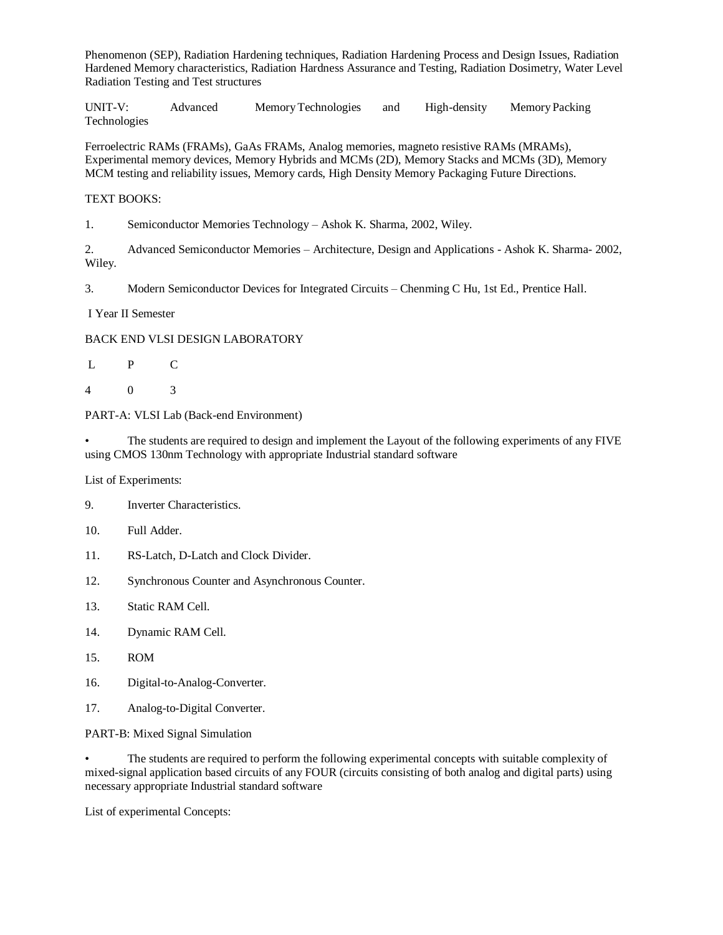Phenomenon (SEP), Radiation Hardening techniques, Radiation Hardening Process and Design Issues, Radiation Hardened Memory characteristics, Radiation Hardness Assurance and Testing, Radiation Dosimetry, Water Level Radiation Testing and Test structures

UNIT-V: Advanced MemoryTechnologies and High-density Memory Packing Technologies

Ferroelectric RAMs (FRAMs), GaAs FRAMs, Analog memories, magneto resistive RAMs (MRAMs), Experimental memory devices, Memory Hybrids and MCMs (2D), Memory Stacks and MCMs (3D), Memory MCM testing and reliability issues, Memory cards, High Density Memory Packaging Future Directions.

# TEXT BOOKS:

1. Semiconductor Memories Technology – Ashok K. Sharma, 2002, Wiley.

2. Advanced Semiconductor Memories – Architecture, Design and Applications - Ashok K. Sharma- 2002, Wiley.

3. Modern Semiconductor Devices for Integrated Circuits – Chenming C Hu, 1st Ed., Prentice Hall.

I Year II Semester

### BACK END VLSI DESIGN LABORATORY

- L P C
- 4 0 3

PART-A: VLSI Lab (Back-end Environment)

• The students are required to design and implement the Layout of the following experiments of any FIVE using CMOS 130nm Technology with appropriate Industrial standard software

List of Experiments:

- 9. Inverter Characteristics.
- 10. Full Adder.
- 11. RS-Latch, D-Latch and Clock Divider.
- 12. Synchronous Counter and Asynchronous Counter.
- 13. Static RAM Cell.
- 14. Dynamic RAM Cell.
- 15. ROM
- 16. Digital-to-Analog-Converter.
- 17. Analog-to-Digital Converter.

PART-B: Mixed Signal Simulation

• The students are required to perform the following experimental concepts with suitable complexity of mixed-signal application based circuits of any FOUR (circuits consisting of both analog and digital parts) using necessary appropriate Industrial standard software

List of experimental Concepts: